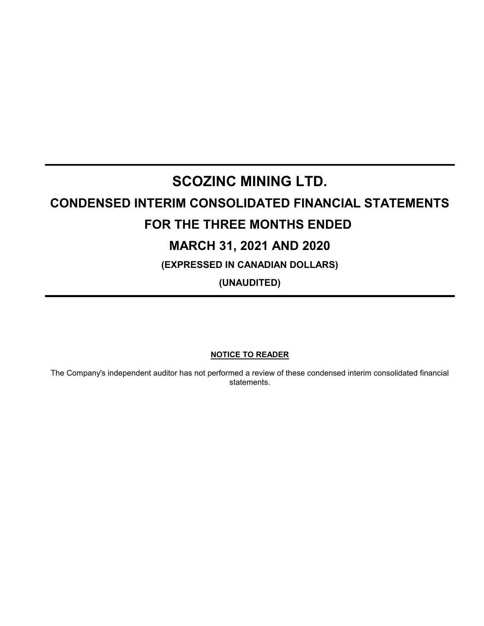# **SCOZINC MINING LTD.**

# **CONDENSED INTERIM CONSOLIDATED FINANCIAL STATEMENTS FOR THE THREE MONTHS ENDED**

# **MARCH 31, 2021 AND 2020**

**(EXPRESSED IN CANADIAN DOLLARS)**

**(UNAUDITED)**

**NOTICE TO READER**

The Company's independent auditor has not performed a review of these condensed interim consolidated financial statements.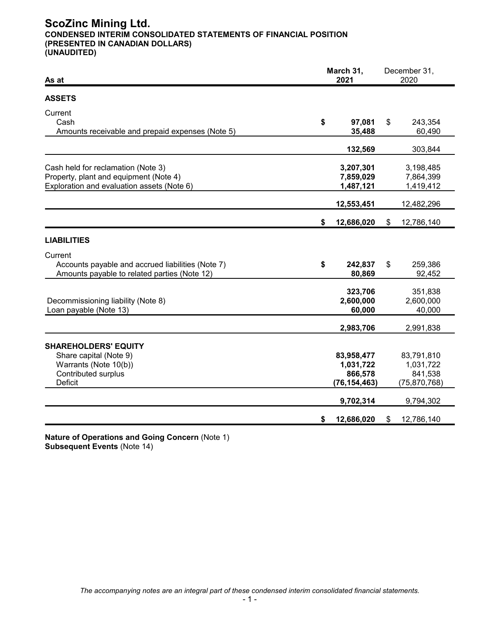# **ScoZinc Mining Ltd. CONDENSED INTERIM CONSOLIDATED STATEMENTS OF FINANCIAL POSITION (PRESENTED IN CANADIAN DOLLARS) (UNAUDITED)**

| As at                                                                                                                          |    | March 31,<br>2021                                    | December 31,<br>2020 |                                                      |
|--------------------------------------------------------------------------------------------------------------------------------|----|------------------------------------------------------|----------------------|------------------------------------------------------|
| <b>ASSETS</b>                                                                                                                  |    |                                                      |                      |                                                      |
| Current<br>Cash<br>Amounts receivable and prepaid expenses (Note 5)                                                            | \$ | 97,081<br>35,488                                     | \$                   | 243,354<br>60,490                                    |
|                                                                                                                                |    | 132,569                                              |                      | 303,844                                              |
| Cash held for reclamation (Note 3)<br>Property, plant and equipment (Note 4)<br>Exploration and evaluation assets (Note 6)     |    | 3,207,301<br>7,859,029<br>1,487,121                  |                      | 3,198,485<br>7,864,399<br>1,419,412                  |
|                                                                                                                                |    | 12,553,451                                           |                      | 12,482,296                                           |
|                                                                                                                                | \$ | 12,686,020                                           | \$                   | 12,786,140                                           |
| <b>LIABILITIES</b>                                                                                                             |    |                                                      |                      |                                                      |
| Current<br>Accounts payable and accrued liabilities (Note 7)<br>Amounts payable to related parties (Note 12)                   | \$ | 242,837<br>80,869                                    | \$                   | 259,386<br>92,452                                    |
| Decommissioning liability (Note 8)<br>Loan payable (Note 13)                                                                   |    | 323,706<br>2,600,000<br>60,000                       |                      | 351,838<br>2,600,000<br>40,000                       |
|                                                                                                                                |    | 2,983,706                                            |                      | 2,991,838                                            |
| <b>SHAREHOLDERS' EQUITY</b><br>Share capital (Note 9)<br>Warrants (Note 10(b))<br><b>Contributed surplus</b><br><b>Deficit</b> |    | 83,958,477<br>1,031,722<br>866,578<br>(76, 154, 463) |                      | 83,791,810<br>1,031,722<br>841,538<br>(75, 870, 768) |
|                                                                                                                                |    | 9,702,314                                            |                      | 9,794,302                                            |
|                                                                                                                                | \$ | 12,686,020                                           | \$                   | 12,786,140                                           |

**Nature of Operations and Going Concern** (Note 1) **Subsequent Events** (Note 14)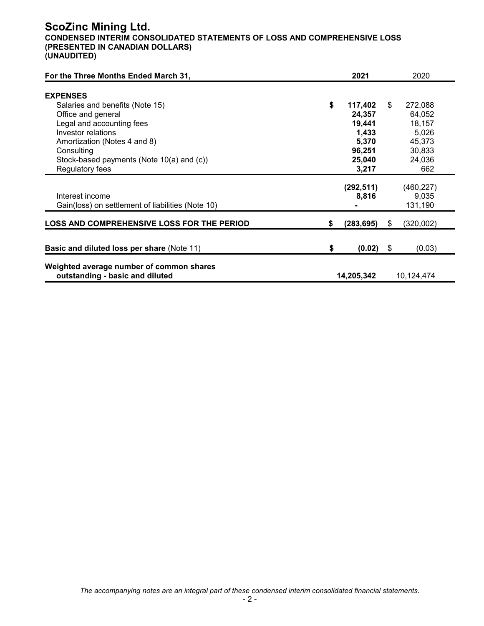# **ScoZinc Mining Ltd. CONDENSED INTERIM CONSOLIDATED STATEMENTS OF LOSS AND COMPREHENSIVE LOSS (PRESENTED IN CANADIAN DOLLARS) (UNAUDITED)**

| For the Three Months Ended March 31,                                                                                                                                                                                          |    | 2021                                                              |    | 2020                                                               |
|-------------------------------------------------------------------------------------------------------------------------------------------------------------------------------------------------------------------------------|----|-------------------------------------------------------------------|----|--------------------------------------------------------------------|
| <b>EXPENSES</b><br>Salaries and benefits (Note 15)<br>Office and general<br>Legal and accounting fees<br><b>Investor relations</b><br>Amortization (Notes 4 and 8)<br>Consulting<br>Stock-based payments (Note 10(a) and (c)) | \$ | 117,402<br>24,357<br>19,441<br>1,433<br>5,370<br>96,251<br>25,040 | \$ | 272,088<br>64,052<br>18,157<br>5,026<br>45,373<br>30,833<br>24,036 |
| Regulatory fees                                                                                                                                                                                                               |    | 3,217                                                             |    | 662                                                                |
| Interest income<br>Gain(loss) on settlement of liabilities (Note 10)                                                                                                                                                          |    | (292, 511)<br>8,816                                               |    | (460, 227)<br>9,035<br>131,190                                     |
| <b>LOSS AND COMPREHENSIVE LOSS FOR THE PERIOD</b>                                                                                                                                                                             | S. | (283, 695)                                                        | S  | (320,002)                                                          |
| <b>Basic and diluted loss per share (Note 11)</b>                                                                                                                                                                             | \$ | $(0.02)$ \$                                                       |    | (0.03)                                                             |
| Weighted average number of common shares<br>outstanding - basic and diluted                                                                                                                                                   |    | 14,205,342                                                        |    | 10,124,474                                                         |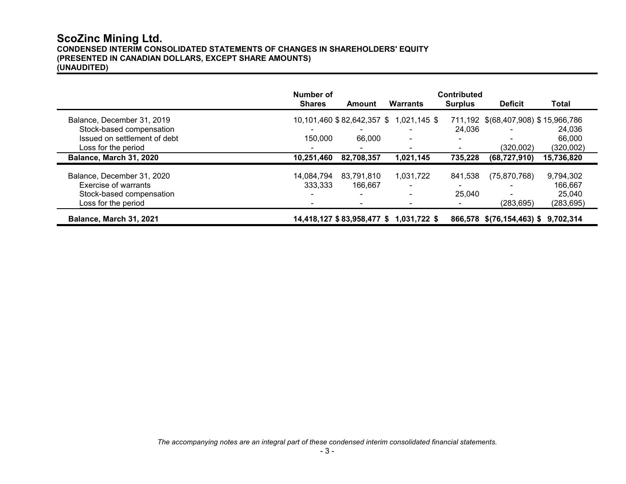## **ScoZinc Mining Ltd. CONDENSED INTERIM CONSOLIDATED STATEMENTS OF CHANGES IN SHAREHOLDERS' EQUITY (PRESENTED IN CANADIAN DOLLARS, EXCEPT SHARE AMOUNTS) (UNAUDITED)**

|                              | Number of<br><b>Shares</b> | Amount                     | Warrants                                | <b>Contributed</b><br><b>Surplus</b> | <b>Deficit</b>                      | Total      |
|------------------------------|----------------------------|----------------------------|-----------------------------------------|--------------------------------------|-------------------------------------|------------|
| Balance, December 31, 2019   |                            |                            | 10,101,460 \$82,642,357 \$ 1,021,145 \$ |                                      | 711,192 \$(68,407,908) \$15,966,786 |            |
| Stock-based compensation     |                            |                            |                                         | 24.036                               |                                     | 24.036     |
| Issued on settlement of debt | 150,000                    | 66,000                     | $\blacksquare$                          |                                      |                                     | 66.000     |
| Loss for the period          |                            |                            |                                         |                                      | (320,002)                           | (320,002)  |
| Balance, March 31, 2020      | 10,251,460                 | 82,708,357                 | 1,021,145                               | 735,228                              | (68, 727, 910)                      | 15,736,820 |
| Balance, December 31, 2020   | 14.084.794                 | 83.791.810                 | 1.031.722                               | 841,538                              | (75, 870, 768)                      | 9,794,302  |
| Exercise of warrants         | 333,333                    | 166.667                    |                                         |                                      |                                     | 166,667    |
| Stock-based compensation     | $\blacksquare$             |                            |                                         | 25,040                               | $\overline{\phantom{0}}$            | 25,040     |
| Loss for the period          |                            |                            |                                         |                                      | (283,695)                           | (283, 695) |
| Balance, March 31, 2021      |                            | 14,418,127 \$83,958,477 \$ | 1,031,722 \$                            |                                      | 866,578 \$(76,154,463) \$ 9,702,314 |            |

*The accompanying notes are an integral part of these condensed interim consolidated financial statements.*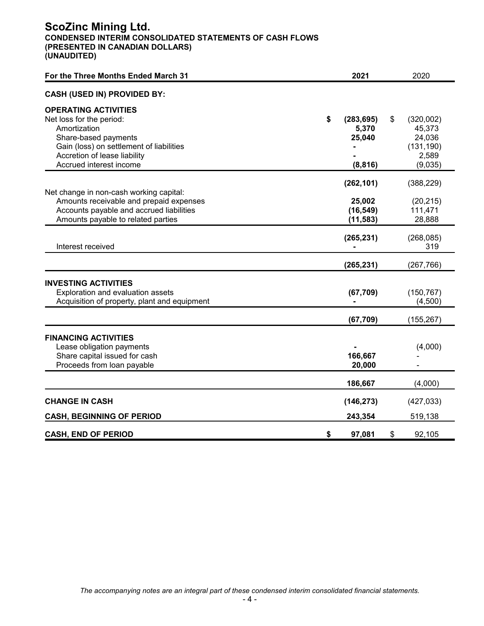## **ScoZinc Mining Ltd. CONDENSED INTERIM CONSOLIDATED STATEMENTS OF CASH FLOWS (PRESENTED IN CANADIAN DOLLARS) (UNAUDITED)**

| For the Three Months Ended March 31                                                                                                                                                                    | 2021                                            | 2020                                                                  |
|--------------------------------------------------------------------------------------------------------------------------------------------------------------------------------------------------------|-------------------------------------------------|-----------------------------------------------------------------------|
| <b>CASH (USED IN) PROVIDED BY:</b>                                                                                                                                                                     |                                                 |                                                                       |
| <b>OPERATING ACTIVITIES</b><br>Net loss for the period:<br>Amortization<br>Share-based payments<br>Gain (loss) on settlement of liabilities<br>Accretion of lease liability<br>Accrued interest income | \$<br>(283, 695)<br>5,370<br>25,040<br>(8, 816) | \$<br>(320,002)<br>45,373<br>24,036<br>(131, 190)<br>2,589<br>(9,035) |
| Net change in non-cash working capital:<br>Amounts receivable and prepaid expenses<br>Accounts payable and accrued liabilities<br>Amounts payable to related parties                                   | (262, 101)<br>25,002<br>(16, 549)<br>(11, 583)  | (388, 229)<br>(20, 215)<br>111,471<br>28,888                          |
| Interest received                                                                                                                                                                                      | (265, 231)                                      | (268, 085)<br>319                                                     |
|                                                                                                                                                                                                        | (265, 231)                                      | (267, 766)                                                            |
| <b>INVESTING ACTIVITIES</b><br>Exploration and evaluation assets<br>Acquisition of property, plant and equipment                                                                                       | (67, 709)                                       | (150, 767)<br>(4,500)                                                 |
|                                                                                                                                                                                                        | (67, 709)                                       | (155, 267)                                                            |
| <b>FINANCING ACTIVITIES</b><br>Lease obligation payments<br>Share capital issued for cash<br>Proceeds from loan payable                                                                                | 166,667<br>20,000                               | (4,000)                                                               |
|                                                                                                                                                                                                        | 186,667                                         | (4,000)                                                               |
| <b>CHANGE IN CASH</b><br><b>CASH, BEGINNING OF PERIOD</b>                                                                                                                                              | (146, 273)<br>243,354                           | (427, 033)<br>519,138                                                 |
| <b>CASH, END OF PERIOD</b>                                                                                                                                                                             | \$<br>97,081                                    | \$<br>92,105                                                          |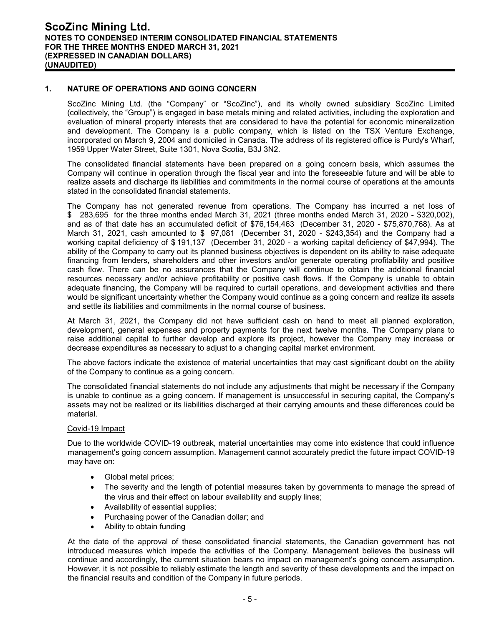## **1. NATURE OF OPERATIONS AND GOING CONCERN**

ScoZinc Mining Ltd. (the "Company" or "ScoZinc"), and its wholly owned subsidiary ScoZinc Limited (collectively, the "Group") is engaged in base metals mining and related activities, including the exploration and evaluation of mineral property interests that are considered to have the potential for economic mineralization and development. The Company is a public company, which is listed on the TSX Venture Exchange, incorporated on March 9, 2004 and domiciled in Canada. The address of its registered office is Purdy's Wharf, 1959 Upper Water Street, Suite 1301, Nova Scotia, B3J 3N2.

The consolidated financial statements have been prepared on a going concern basis, which assumes the Company will continue in operation through the fiscal year and into the foreseeable future and will be able to realize assets and discharge its liabilities and commitments in the normal course of operations at the amounts stated in the consolidated financial statements.

The Company has not generated revenue from operations. The Company has incurred a net loss of \$ 283,695 for the three months ended March 31, 2021 (three months ended March 31, 2020 - \$320,002), and as of that date has an accumulated deficit of \$76,154,463 (December 31, 2020 - \$75,870,768). As at March 31, 2021, cash amounted to \$ 97,081 (December 31, 2020 - \$243,354) and the Company had a working capital deficiency of \$ 191,137 (December 31, 2020 - a working capital deficiency of \$47,994). The ability of the Company to carry out its planned business objectives is dependent on its ability to raise adequate financing from lenders, shareholders and other investors and/or generate operating profitability and positive cash flow. There can be no assurances that the Company will continue to obtain the additional financial resources necessary and/or achieve profitability or positive cash flows. If the Company is unable to obtain adequate financing, the Company will be required to curtail operations, and development activities and there would be significant uncertainty whether the Company would continue as a going concern and realize its assets and settle its liabilities and commitments in the normal course of business.

At March 31, 2021, the Company did not have sufficient cash on hand to meet all planned exploration, development, general expenses and property payments for the next twelve months. The Company plans to raise additional capital to further develop and explore its project, however the Company may increase or decrease expenditures as necessary to adjust to a changing capital market environment.

The above factors indicate the existence of material uncertainties that may cast significant doubt on the ability of the Company to continue as a going concern.

The consolidated financial statements do not include any adjustments that might be necessary if the Company is unable to continue as a going concern. If management is unsuccessful in securing capital, the Company's assets may not be realized or its liabilities discharged at their carrying amounts and these differences could be material.

#### Covid-19 Impact

Due to the worldwide COVID-19 outbreak, material uncertainties may come into existence that could influence management's going concern assumption. Management cannot accurately predict the future impact COVID-19 may have on:

- Global metal prices;
- The severity and the length of potential measures taken by governments to manage the spread of the virus and their effect on labour availability and supply lines;
- Availability of essential supplies;
- Purchasing power of the Canadian dollar; and
- Ability to obtain funding

At the date of the approval of these consolidated financial statements, the Canadian government has not introduced measures which impede the activities of the Company. Management believes the business will continue and accordingly, the current situation bears no impact on management's going concern assumption. However, it is not possible to reliably estimate the length and severity of these developments and the impact on the financial results and condition of the Company in future periods.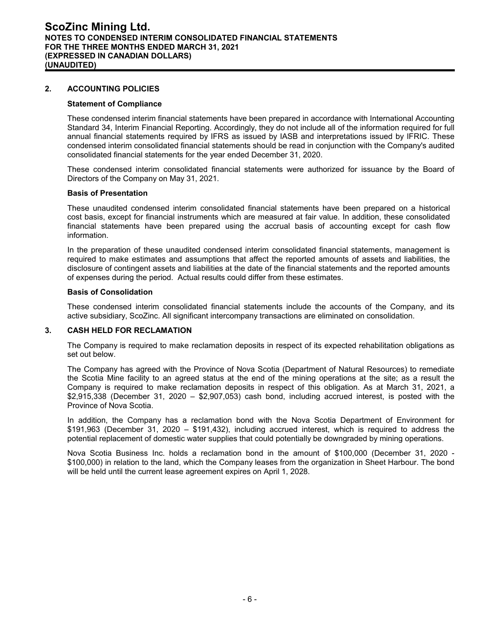## **2. ACCOUNTING POLICIES**

#### **Statement of Compliance**

These condensed interim financial statements have been prepared in accordance with International Accounting Standard 34, Interim Financial Reporting. Accordingly, they do not include all of the information required for full annual financial statements required by IFRS as issued by IASB and interpretations issued by IFRIC. These condensed interim consolidated financial statements should be read in conjunction with the Company's audited consolidated financial statements for the year ended December 31, 2020.

These condensed interim consolidated financial statements were authorized for issuance by the Board of Directors of the Company on May 31, 2021.

#### **Basis of Presentation**

These unaudited condensed interim consolidated financial statements have been prepared on a historical cost basis, except for financial instruments which are measured at fair value. In addition, these consolidated financial statements have been prepared using the accrual basis of accounting except for cash flow information.

In the preparation of these unaudited condensed interim consolidated financial statements, management is required to make estimates and assumptions that affect the reported amounts of assets and liabilities, the disclosure of contingent assets and liabilities at the date of the financial statements and the reported amounts of expenses during the period. Actual results could differ from these estimates.

#### **Basis of Consolidation**

These condensed interim consolidated financial statements include the accounts of the Company, and its active subsidiary, ScoZinc. All significant intercompany transactions are eliminated on consolidation.

## **3. CASH HELD FOR RECLAMATION**

The Company is required to make reclamation deposits in respect of its expected rehabilitation obligations as set out below.

The Company has agreed with the Province of Nova Scotia (Department of Natural Resources) to remediate the Scotia Mine facility to an agreed status at the end of the mining operations at the site; as a result the Company is required to make reclamation deposits in respect of this obligation. As at March 31, 2021, a \$2,915,338 (December 31, 2020 – \$2,907,053) cash bond, including accrued interest, is posted with the Province of Nova Scotia.

In addition, the Company has a reclamation bond with the Nova Scotia Department of Environment for \$191,963 (December 31, 2020 – \$191,432), including accrued interest, which is required to address the potential replacement of domestic water supplies that could potentially be downgraded by mining operations.

Nova Scotia Business Inc. holds a reclamation bond in the amount of \$100,000 (December 31, 2020 - \$100,000) in relation to the land, which the Company leases from the organization in Sheet Harbour. The bond will be held until the current lease agreement expires on April 1, 2028.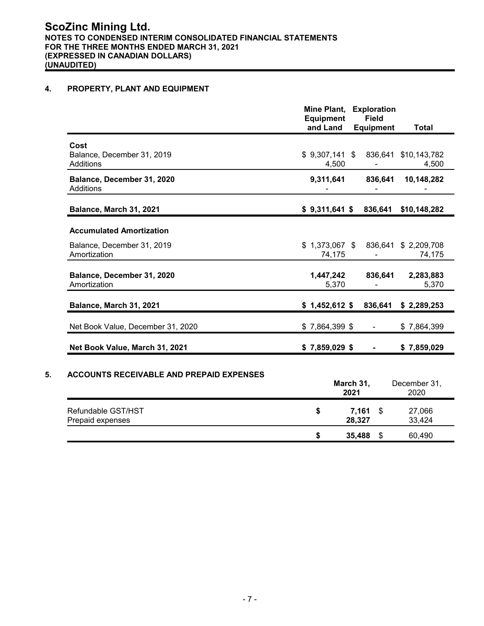## **4. PROPERTY, PLANT AND EQUIPMENT**

| <b>Field</b><br><b>Equipment</b><br>and Land<br><b>Equipment</b><br><b>Total</b> |
|----------------------------------------------------------------------------------|
| $$9,307,141$ \$<br>836,641<br>\$10,143,782<br>4,500<br>4,500                     |
| 9,311,641<br>836,641<br>10,148,282                                               |
| $$9,311,641$ \$<br>836,641<br>\$10,148,282                                       |
|                                                                                  |
| $$1,373,067$ \$<br>836,641<br>\$2,209,708<br>74,175<br>74,175                    |
| 1,447,242<br>836,641<br>2,283,883<br>5,370<br>5,370                              |
| $$1,452,612$ \$<br>836,641<br>\$2,289,253                                        |
| $$7,864,399$ \$<br>\$7,864,399                                                   |
| $$7,859,029$ \$<br>\$7,859,029                                                   |
|                                                                                  |

**\$ 35,488** \$ 60,490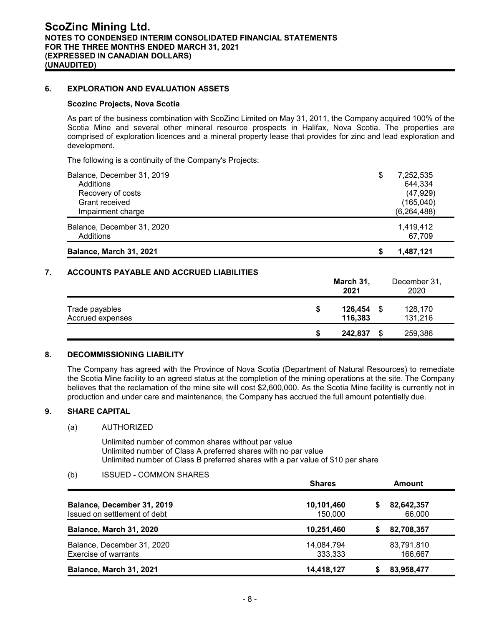## **6. EXPLORATION AND EVALUATION ASSETS**

#### **Scozinc Projects, Nova Scotia**

As part of the business combination with ScoZinc Limited on May 31, 2011, the Company acquired 100% of the Scotia Mine and several other mineral resource prospects in Halifax, Nova Scotia. The properties are comprised of exploration licences and a mineral property lease that provides for zinc and lead exploration and development.

The following is a continuity of the Company's Projects:

| Balance, March 31, 2021                 | 1.487.121<br>S      |
|-----------------------------------------|---------------------|
| Balance, December 31, 2020<br>Additions | 1,419,412<br>67,709 |
| Impairment charge                       | (6, 264, 488)       |
| Grant received                          | (165, 040)          |
| Recovery of costs                       | (47, 929)           |
| Additions                               | 644,334             |
| Balance, December 31, 2019              | \$<br>7,252,535     |

## **7. ACCOUNTS PAYABLE AND ACCRUED LIABILITIES**

|                                    |    | March 31,<br>2021  |     | December 31,<br>2020 |
|------------------------------------|----|--------------------|-----|----------------------|
| Trade payables<br>Accrued expenses | \$ | 126,454<br>116,383 | \$. | 128,170<br>131,216   |
|                                    | S  | 242,837            | S   | 259,386              |

#### **8. DECOMMISSIONING LIABILITY**

The Company has agreed with the Province of Nova Scotia (Department of Natural Resources) to remediate the Scotia Mine facility to an agreed status at the completion of the mining operations at the site. The Company believes that the reclamation of the mine site will cost \$2,600,000. As the Scotia Mine facility is currently not in production and under care and maintenance, the Company has accrued the full amount potentially due.

#### **9. SHARE CAPITAL**

#### (a) AUTHORIZED

Unlimited number of common shares without par value Unlimited number of Class A preferred shares with no par value Unlimited number of Class B preferred shares with a par value of \$10 per share

#### (b) ISSUED - COMMON SHARES

|                                                            | <b>Shares</b>         | Amount |                       |  |
|------------------------------------------------------------|-----------------------|--------|-----------------------|--|
| Balance, December 31, 2019<br>Issued on settlement of debt | 10,101,460<br>150,000 | S      | 82,642,357<br>66,000  |  |
| <b>Balance, March 31, 2020</b>                             | 10,251,460            | S      | 82,708,357            |  |
| Balance, December 31, 2020<br>Exercise of warrants         | 14,084,794<br>333,333 |        | 83,791,810<br>166.667 |  |
| <b>Balance, March 31, 2021</b>                             | 14,418,127            |        | 83,958,477            |  |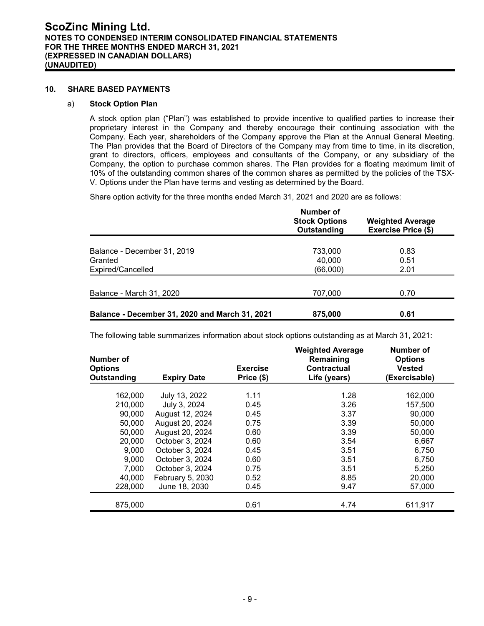#### **10. SHARE BASED PAYMENTS**

#### a) **Stock Option Plan**

A stock option plan ("Plan") was established to provide incentive to qualified parties to increase their proprietary interest in the Company and thereby encourage their continuing association with the Company. Each year, shareholders of the Company approve the Plan at the Annual General Meeting. The Plan provides that the Board of Directors of the Company may from time to time, in its discretion, grant to directors, officers, employees and consultants of the Company, or any subsidiary of the Company, the option to purchase common shares. The Plan provides for a floating maximum limit of 10% of the outstanding common shares of the common shares as permitted by the policies of the TSX-V. Options under the Plan have terms and vesting as determined by the Board.

Share option activity for the three months ended March 31, 2021 and 2020 are as follows:

|                                                | Number of<br><b>Stock Options</b><br>Outstanding | <b>Weighted Average</b><br><b>Exercise Price (\$)</b> |
|------------------------------------------------|--------------------------------------------------|-------------------------------------------------------|
| Balance - December 31, 2019<br>Granted         | 733,000<br>40.000                                | 0.83<br>0.51                                          |
| Expired/Cancelled                              | (66,000)                                         | 2.01                                                  |
| Balance - March 31, 2020                       | 707,000                                          | 0.70                                                  |
| Balance - December 31, 2020 and March 31, 2021 | 875,000                                          | 0.61                                                  |

The following table summarizes information about stock options outstanding as at March 31, 2021:

| Number of<br><b>Options</b><br>Outstanding | <b>Expiry Date</b> | <b>Exercise</b><br>Price (\$) | <b>Weighted Average</b><br>Remaining<br>Contractual<br>Life (years) | Number of<br><b>Options</b><br><b>Vested</b><br>(Exercisable) |
|--------------------------------------------|--------------------|-------------------------------|---------------------------------------------------------------------|---------------------------------------------------------------|
| 162,000                                    | July 13, 2022      | 1.11                          | 1.28                                                                | 162,000                                                       |
| 210,000                                    | July 3, 2024       | 0.45                          | 3.26                                                                | 157,500                                                       |
| 90,000                                     | August 12, 2024    | 0.45                          | 3.37                                                                | 90,000                                                        |
| 50,000                                     | August 20, 2024    | 0.75                          | 3.39                                                                | 50,000                                                        |
| 50,000                                     | August 20, 2024    | 0.60                          | 3.39                                                                | 50,000                                                        |
| 20,000                                     | October 3, 2024    | 0.60                          | 3.54                                                                | 6,667                                                         |
| 9,000                                      | October 3, 2024    | 0.45                          | 3.51                                                                | 6,750                                                         |
| 9,000                                      | October 3, 2024    | 0.60                          | 3.51                                                                | 6,750                                                         |
| 7,000                                      | October 3, 2024    | 0.75                          | 3.51                                                                | 5,250                                                         |
| 40,000                                     | February 5, 2030   | 0.52                          | 8.85                                                                | 20,000                                                        |
| 228,000                                    | June 18, 2030      | 0.45                          | 9.47                                                                | 57,000                                                        |
| 875,000                                    |                    | 0.61                          | 4.74                                                                | 611,917                                                       |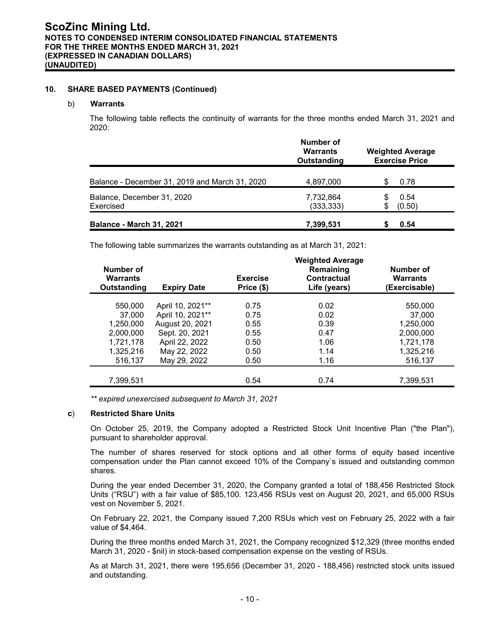#### **10. SHARE BASED PAYMENTS (Continued)**

#### b) **Warrants**

The following table reflects the continuity of warrants for the three months ended March 31, 2021 and 2020:

|                                                | Number of<br><b>Warrants</b><br>Outstanding | <b>Weighted Average</b><br><b>Exercise Price</b> |
|------------------------------------------------|---------------------------------------------|--------------------------------------------------|
| Balance - December 31, 2019 and March 31, 2020 | 4,897,000                                   | 0.78                                             |
| Balance, December 31, 2020<br>Exercised        | 7,732,864<br>(333, 333)                     | 0.54<br>(0.50)                                   |
| <b>Balance - March 31, 2021</b>                | 7,399,531                                   | 0.54                                             |

The following table summarizes the warrants outstanding as at March 31, 2021:

|                                             |                    |                               | <b>Weighted Average</b>                  |                                               |
|---------------------------------------------|--------------------|-------------------------------|------------------------------------------|-----------------------------------------------|
| Number of<br><b>Warrants</b><br>Outstanding | <b>Expiry Date</b> | <b>Exercise</b><br>Price (\$) | Remaining<br>Contractual<br>Life (years) | Number of<br><b>Warrants</b><br>(Exercisable) |
|                                             |                    |                               |                                          |                                               |
| 550,000                                     | April 10, 2021**   | 0.75                          | 0.02                                     | 550,000                                       |
| 37,000                                      | April 10, 2021**   | 0.75                          | 0.02                                     | 37,000                                        |
| 1,250,000                                   | August 20, 2021    | 0.55                          | 0.39                                     | 1,250,000                                     |
| 2,000,000                                   | Sept. 20, 2021     | 0.55                          | 0.47                                     | 2,000,000                                     |
| 1,721,178                                   | April 22, 2022     | 0.50                          | 1.06                                     | 1,721,178                                     |
| 1,325,216                                   | May 22, 2022       | 0.50                          | 1.14                                     | 1,325,216                                     |
| 516,137                                     | May 29, 2022       | 0.50                          | 1.16                                     | 516,137                                       |
|                                             |                    |                               |                                          |                                               |
| 7,399,531                                   |                    | 0.54                          | 0.74                                     | 7,399,531                                     |

*\*\* expired unexercised subsequent to March 31, 2021*

#### **c**) **Restricted Share Units**

On October 25, 2019, the Company adopted a Restricted Stock Unit Incentive Plan ("the Plan"), pursuant to shareholder approval.

The number of shares reserved for stock options and all other forms of equity based incentive compensation under the Plan cannot exceed 10% of the Company`s issued and outstanding common shares.

During the year ended December 31, 2020, the Company granted a total of 188,456 Restricted Stock Units ("RSU") with a fair value of \$85,100. 123,456 RSUs vest on August 20, 2021, and 65,000 RSUs vest on November 5, 2021.

On February 22, 2021, the Company issued 7,200 RSUs which vest on February 25, 2022 with a fair value of \$4,464.

During the three months ended March 31, 2021, the Company recognized \$12,329 (three months ended March 31, 2020 - \$nil) in stock-based compensation expense on the vesting of RSUs.

As at March 31, 2021, there were 195,656 (December 31, 2020 - 188,456) restricted stock units issued and outstanding.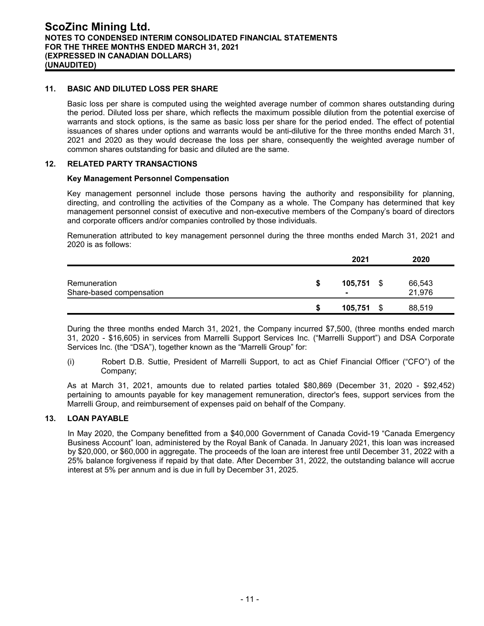## **11. BASIC AND DILUTED LOSS PER SHARE**

Basic loss per share is computed using the weighted average number of common shares outstanding during the period. Diluted loss per share, which reflects the maximum possible dilution from the potential exercise of warrants and stock options, is the same as basic loss per share for the period ended. The effect of potential issuances of shares under options and warrants would be anti-dilutive for the three months ended March 31, 2021 and 2020 as they would decrease the loss per share, consequently the weighted average number of common shares outstanding for basic and diluted are the same.

#### **12. RELATED PARTY TRANSACTIONS**

#### **Key Management Personnel Compensation**

Key management personnel include those persons having the authority and responsibility for planning, directing, and controlling the activities of the Company as a whole. The Company has determined that key management personnel consist of executive and non-executive members of the Company's board of directors and corporate officers and/or companies controlled by those individuals.

Remuneration attributed to key management personnel during the three months ended March 31, 2021 and 2020 is as follows:

|                                          |   | 2021         |      | 2020             |
|------------------------------------------|---|--------------|------|------------------|
| Remuneration<br>Share-based compensation | S | $105,751$ \$ |      | 66,543<br>21,976 |
|                                          | S | 105,751      | - \$ | 88,519           |

During the three months ended March 31, 2021, the Company incurred \$7,500, (three months ended march 31, 2020 - \$16,605) in services from Marrelli Support Services Inc. ("Marrelli Support") and DSA Corporate Services Inc. (the "DSA"), together known as the "Marrelli Group" for:

(i) Robert D.B. Suttie, President of Marrelli Support, to act as Chief Financial Officer ("CFO") of the Company;

As at March 31, 2021, amounts due to related parties totaled \$80,869 (December 31, 2020 - \$92,452) pertaining to amounts payable for key management remuneration, director's fees, support services from the Marrelli Group, and reimbursement of expenses paid on behalf of the Company.

#### **13. LOAN PAYABLE**

In May 2020, the Company benefitted from a \$40,000 Government of Canada Covid-19 "Canada Emergency Business Account" loan, administered by the Royal Bank of Canada. In January 2021, this loan was increased by \$20,000, or \$60,000 in aggregate. The proceeds of the loan are interest free until December 31, 2022 with a 25% balance forgiveness if repaid by that date. After December 31, 2022, the outstanding balance will accrue interest at 5% per annum and is due in full by December 31, 2025.